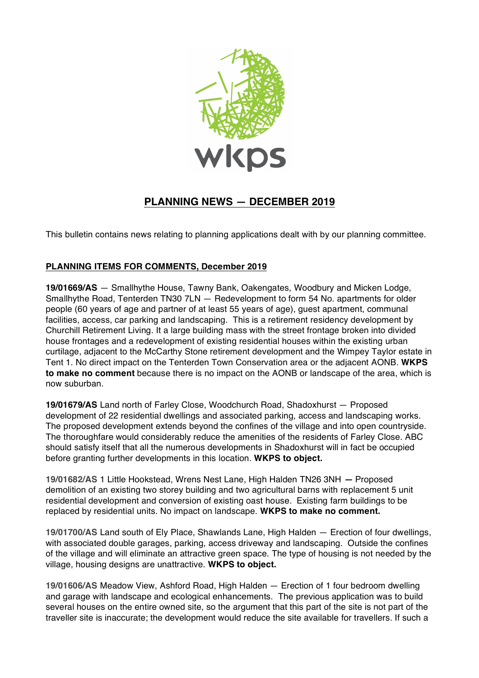

## **PLANNING NEWS — DECEMBER 2019**

This bulletin contains news relating to planning applications dealt with by our planning committee.

## **PLANNING ITEMS FOR COMMENTS, December 2019**

**19/01669/AS** — Smallhythe House, Tawny Bank, Oakengates, Woodbury and Micken Lodge, Smallhythe Road, Tenterden TN30 7LN — Redevelopment to form 54 No. apartments for older people (60 years of age and partner of at least 55 years of age), guest apartment, communal facilities, access, car parking and landscaping. This is a retirement residency development by Churchill Retirement Living. It a large building mass with the street frontage broken into divided house frontages and a redevelopment of existing residential houses within the existing urban curtilage, adjacent to the McCarthy Stone retirement development and the Wimpey Taylor estate in Tent 1. No direct impact on the Tenterden Town Conservation area or the adjacent AONB. **WKPS to make no comment** because there is no impact on the AONB or landscape of the area, which is now suburban.

**19/01679/AS** Land north of Farley Close, Woodchurch Road, Shadoxhurst — Proposed development of 22 residential dwellings and associated parking, access and landscaping works. The proposed development extends beyond the confines of the village and into open countryside. The thoroughfare would considerably reduce the amenities of the residents of Farley Close. ABC should satisfy itself that all the numerous developments in Shadoxhurst will in fact be occupied before granting further developments in this location. **WKPS to object.**

**19/01682/AS** 1 Little Hookstead, Wrens Nest Lane, High Halden TN26 3NH **—** Proposed demolition of an existing two storey building and two agricultural barns with replacement 5 unit residential development and conversion of existing oast house. Existing farm buildings to be replaced by residential units. No impact on landscape. **WKPS to make no comment.**

**19/01700/AS** Land south of Ely Place, Shawlands Lane, High Halden — Erection of four dwellings, with associated double garages, parking, access driveway and landscaping. Outside the confines of the village and will eliminate an attractive green space. The type of housing is not needed by the village, housing designs are unattractive. **WKPS to object.**

**19/01606/AS** Meadow View, Ashford Road, High Halden — Erection of 1 four bedroom dwelling and garage with landscape and ecological enhancements. The previous application was to build several houses on the entire owned site, so the argument that this part of the site is not part of the traveller site is inaccurate; the development would reduce the site available for travellers. If such a